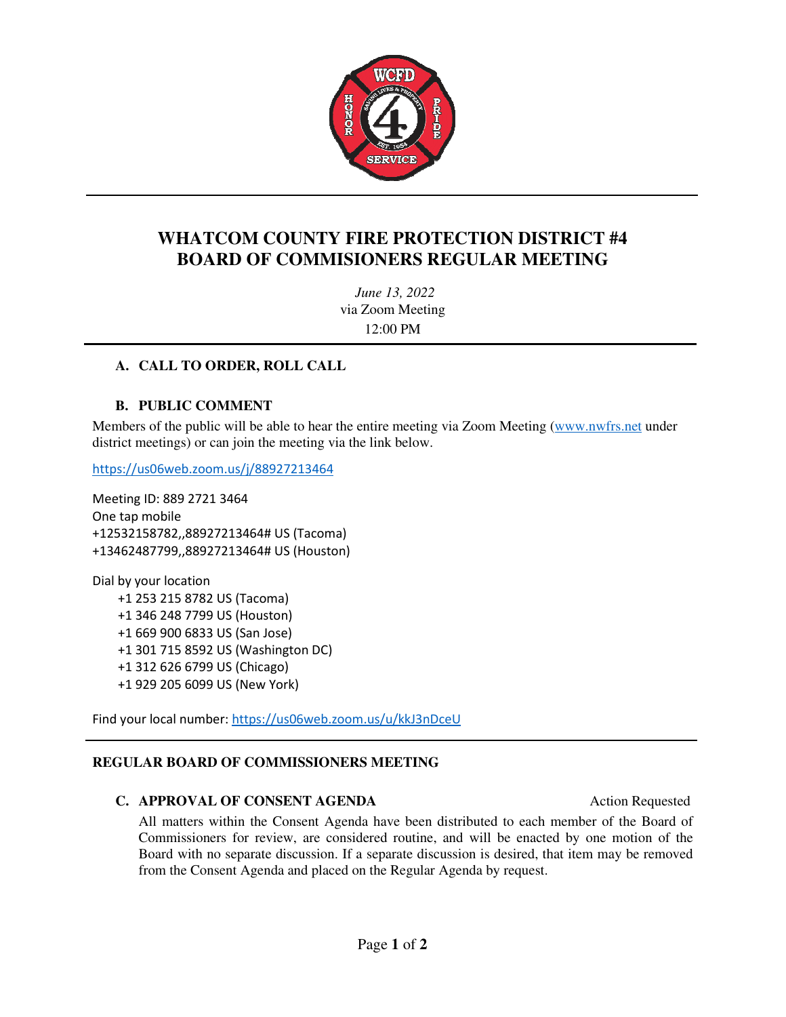

## **WHATCOM COUNTY FIRE PROTECTION DISTRICT #4 BOARD OF COMMISIONERS REGULAR MEETING**

*June 13, 2022*  via Zoom Meeting 12:00 PM

### **A. CALL TO ORDER, ROLL CALL**

#### **B. PUBLIC COMMENT**

Members of the public will be able to hear the entire meeting via Zoom Meeting (www.nwfrs.net under district meetings) or can join the meeting via the link below.

https://us06web.zoom.us/j/88927213464

Meeting ID: 889 2721 3464 One tap mobile +12532158782,,88927213464# US (Tacoma) +13462487799,,88927213464# US (Houston)

Dial by your location +1 253 215 8782 US (Tacoma) +1 346 248 7799 US (Houston) +1 669 900 6833 US (San Jose) +1 301 715 8592 US (Washington DC) +1 312 626 6799 US (Chicago) +1 929 205 6099 US (New York)

Find your local number: https://us06web.zoom.us/u/kkJ3nDceU

#### **REGULAR BOARD OF COMMISSIONERS MEETING**

#### **C. APPROVAL OF CONSENT AGENDA** Action Requested

All matters within the Consent Agenda have been distributed to each member of the Board of Commissioners for review, are considered routine, and will be enacted by one motion of the Board with no separate discussion. If a separate discussion is desired, that item may be removed from the Consent Agenda and placed on the Regular Agenda by request.